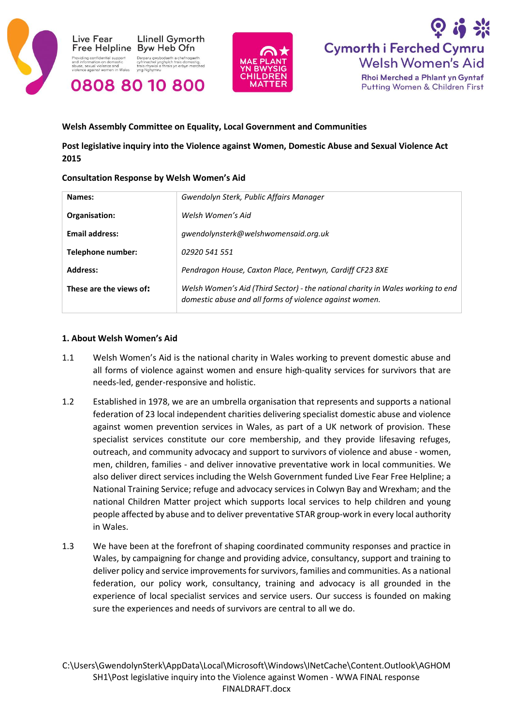





### **Welsh Assembly Committee on Equality, Local Government and Communities**

# **Post legislative inquiry into the Violence against Women, Domestic Abuse and Sexual Violence Act 2015**

#### **Consultation Response by Welsh Women's Aid**

| Names:                  | Gwendolyn Sterk, Public Affairs Manager                                                                                                    |
|-------------------------|--------------------------------------------------------------------------------------------------------------------------------------------|
| Organisation:           | Welsh Women's Aid                                                                                                                          |
| <b>Email address:</b>   | gwendolynsterk@welshwomensaid.org.uk                                                                                                       |
| Telephone number:       | 02920 541 551                                                                                                                              |
| Address:                | Pendragon House, Caxton Place, Pentwyn, Cardiff CF23 8XE                                                                                   |
| These are the views of: | Welsh Women's Aid (Third Sector) - the national charity in Wales working to end<br>domestic abuse and all forms of violence against women. |

#### **1. About Welsh Women's Aid**

- 1.1 Welsh Women's Aid is the national charity in Wales working to prevent domestic abuse and all forms of violence against women and ensure high-quality services for survivors that are needs-led, gender-responsive and holistic.
- 1.2 Established in 1978, we are an umbrella organisation that represents and supports a national federation of 23 local independent charities delivering specialist domestic abuse and violence against women prevention services in Wales, as part of a UK network of provision. These specialist services constitute our core membership, and they provide lifesaving refuges, outreach, and community advocacy and support to survivors of violence and abuse - women, men, children, families - and deliver innovative preventative work in local communities. We also deliver direct services including the Welsh Government funded Live Fear Free Helpline; a National Training Service; refuge and advocacy services in Colwyn Bay and Wrexham; and the national Children Matter project which supports local services to help children and young people affected by abuse and to deliver preventative STAR group-work in every local authority in Wales.
- 1.3 We have been at the forefront of shaping coordinated community responses and practice in Wales, by campaigning for change and providing advice, consultancy, support and training to deliver policy and service improvements for survivors, families and communities. As a national federation, our policy work, consultancy, training and advocacy is all grounded in the experience of local specialist services and service users. Our success is founded on making sure the experiences and needs of survivors are central to all we do.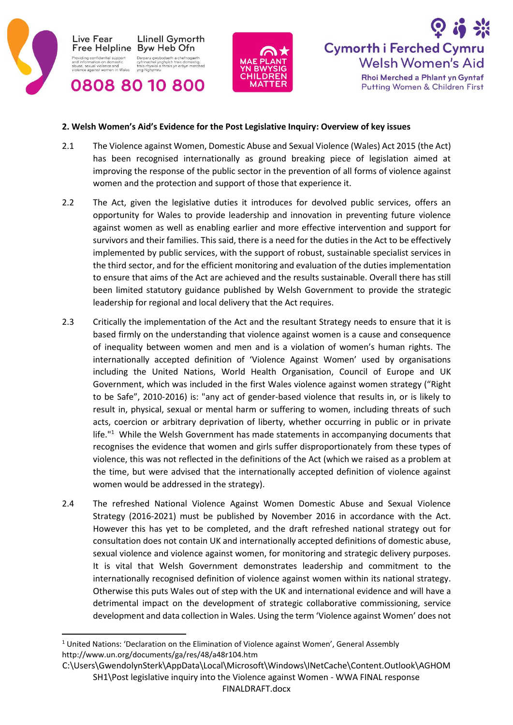





### **2. Welsh Women's Aid's Evidence for the Post Legislative Inquiry: Overview of key issues**

- 2.1 The Violence against Women, Domestic Abuse and Sexual Violence (Wales) Act 2015 (the Act) has been recognised internationally as ground breaking piece of legislation aimed at improving the response of the public sector in the prevention of all forms of violence against women and the protection and support of those that experience it.
- 2.2 The Act, given the legislative duties it introduces for devolved public services, offers an opportunity for Wales to provide leadership and innovation in preventing future violence against women as well as enabling earlier and more effective intervention and support for survivors and their families. This said, there is a need for the duties in the Act to be effectively implemented by public services, with the support of robust, sustainable specialist services in the third sector, and for the efficient monitoring and evaluation of the duties implementation to ensure that aims of the Act are achieved and the results sustainable. Overall there has still been limited statutory guidance published by Welsh Government to provide the strategic leadership for regional and local delivery that the Act requires.
- 2.3 Critically the implementation of the Act and the resultant Strategy needs to ensure that it is based firmly on the understanding that violence against women is a cause and consequence of inequality between women and men and is a violation of women's human rights. The internationally accepted definition of 'Violence Against Women' used by organisations including the United Nations, World Health Organisation, Council of Europe and UK Government, which was included in the first Wales violence against women strategy ("Right to be Safe", 2010-2016) is: "any act of gender-based violence that results in, or is likely to result in, physical, sexual or mental harm or suffering to women, including threats of such acts, coercion or arbitrary deprivation of liberty, whether occurring in public or in private life."<sup>1</sup> While the Welsh Government has made statements in accompanying documents that recognises the evidence that women and girls suffer disproportionately from these types of violence, this was not reflected in the definitions of the Act (which we raised as a problem at the time, but were advised that the internationally accepted definition of violence against women would be addressed in the strategy).
- 2.4 The refreshed National Violence Against Women Domestic Abuse and Sexual Violence Strategy (2016-2021) must be published by November 2016 in accordance with the Act. However this has yet to be completed, and the draft refreshed national strategy out for consultation does not contain UK and internationally accepted definitions of domestic abuse, sexual violence and violence against women, for monitoring and strategic delivery purposes. It is vital that Welsh Government demonstrates leadership and commitment to the internationally recognised definition of violence against women within its national strategy. Otherwise this puts Wales out of step with the UK and international evidence and will have a detrimental impact on the development of strategic collaborative commissioning, service development and data collection in Wales. Using the term 'Violence against Women' does not

 $\overline{a}$  $1$  United Nations: 'Declaration on the Elimination of Violence against Women', General Assembly http://www.un.org/documents/ga/res/48/a48r104.htm

C:\Users\GwendolynSterk\AppData\Local\Microsoft\Windows\INetCache\Content.Outlook\AGHOM SH1\Post legislative inquiry into the Violence against Women - WWA FINAL response FINALDRAFT.docx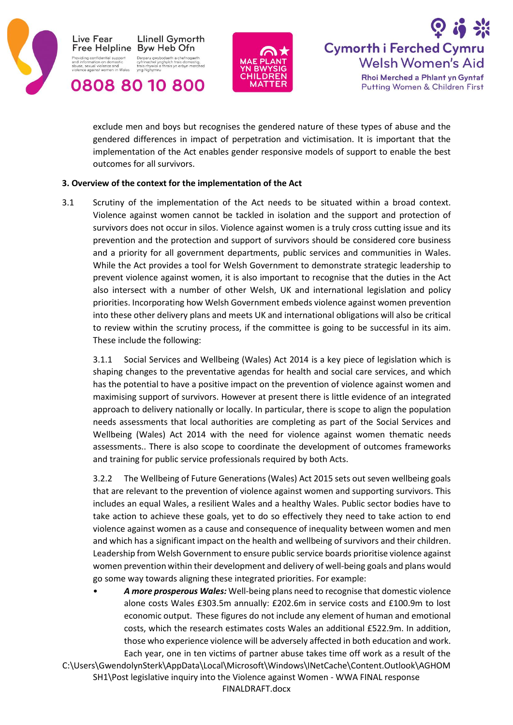





exclude men and boys but recognises the gendered nature of these types of abuse and the gendered differences in impact of perpetration and victimisation. It is important that the implementation of the Act enables gender responsive models of support to enable the best outcomes for all survivors.

### **3. Overview of the context for the implementation of the Act**

3.1 Scrutiny of the implementation of the Act needs to be situated within a broad context. Violence against women cannot be tackled in isolation and the support and protection of survivors does not occur in silos. Violence against women is a truly cross cutting issue and its prevention and the protection and support of survivors should be considered core business and a priority for all government departments, public services and communities in Wales. While the Act provides a tool for Welsh Government to demonstrate strategic leadership to prevent violence against women, it is also important to recognise that the duties in the Act also intersect with a number of other Welsh, UK and international legislation and policy priorities. Incorporating how Welsh Government embeds violence against women prevention into these other delivery plans and meets UK and international obligations will also be critical to review within the scrutiny process, if the committee is going to be successful in its aim. These include the following:

3.1.1 Social Services and Wellbeing (Wales) Act 2014 is a key piece of legislation which is shaping changes to the preventative agendas for health and social care services, and which has the potential to have a positive impact on the prevention of violence against women and maximising support of survivors. However at present there is little evidence of an integrated approach to delivery nationally or locally. In particular, there is scope to align the population needs assessments that local authorities are completing as part of the Social Services and Wellbeing (Wales) Act 2014 with the need for violence against women thematic needs assessments.. There is also scope to coordinate the development of outcomes frameworks and training for public service professionals required by both Acts.

3.2.2 The Wellbeing of Future Generations (Wales) Act 2015 sets out seven wellbeing goals that are relevant to the prevention of violence against women and supporting survivors. This includes an equal Wales, a resilient Wales and a healthy Wales. Public sector bodies have to take action to achieve these goals, yet to do so effectively they need to take action to end violence against women as a cause and consequence of inequality between women and men and which has a significant impact on the health and wellbeing of survivors and their children. Leadership from Welsh Government to ensure public service boards prioritise violence against women prevention within their development and delivery of well-being goals and plans would go some way towards aligning these integrated priorities. For example:

• *A more prosperous Wales:* Well-being plans need to recognise that domestic violence alone costs Wales £303.5m annually: £202.6m in service costs and £100.9m to lost economic output. These figures do not include any element of human and emotional costs, which the research estimates costs Wales an additional £522.9m. In addition, those who experience violence will be adversely affected in both education and work. Each year, one in ten victims of partner abuse takes time off work as a result of the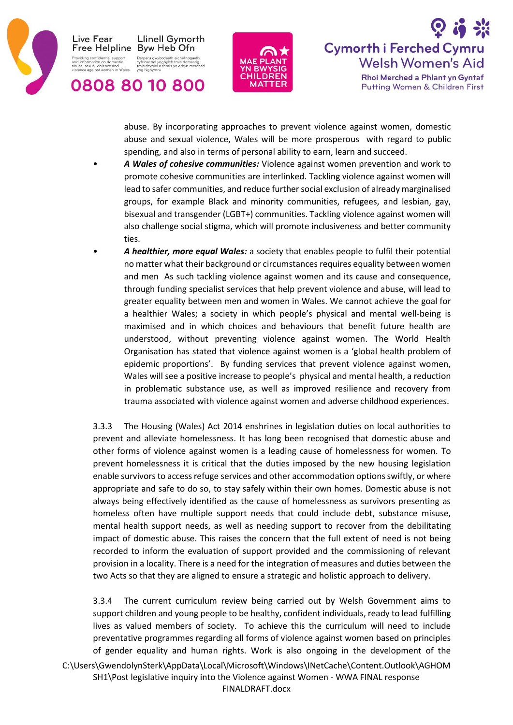

Live Fear **Llinell Gymorth** Free Helpline Byw Heb Ofn odaeth a chefnogaeth<br>ghylch trais domestig,<br>thrais yn erbyn merched ing confidential support<br>formation on democtic Darparu gwybo iation on domestic<br>ual violence and<br>iainst women in Wales







abuse. By incorporating approaches to prevent violence against women, domestic abuse and sexual violence, Wales will be more prosperous with regard to public spending, and also in terms of personal ability to earn, learn and succeed.

- *A Wales of cohesive communities:* Violence against women prevention and work to promote cohesive communities are interlinked. Tackling violence against women will lead to safer communities, and reduce further social exclusion of already marginalised groups, for example Black and minority communities, refugees, and lesbian, gay, bisexual and transgender (LGBT+) communities. Tackling violence against women will also challenge social stigma, which will promote inclusiveness and better community ties.
- *A healthier, more equal Wales:* a society that enables people to fulfil their potential no matter what their background or circumstances requires equality between women and men As such tackling violence against women and its cause and consequence, through funding specialist services that help prevent violence and abuse, will lead to greater equality between men and women in Wales. We cannot achieve the goal for a healthier Wales; a society in which people's physical and mental well-being is maximised and in which choices and behaviours that benefit future health are understood, without preventing violence against women. The World Health Organisation has stated that violence against women is a 'global health problem of epidemic proportions'. By funding services that prevent violence against women, Wales will see a positive increase to people's physical and mental health, a reduction in problematic substance use, as well as improved resilience and recovery from trauma associated with violence against women and adverse childhood experiences.

3.3.3 The Housing (Wales) Act 2014 enshrines in legislation duties on local authorities to prevent and alleviate homelessness. It has long been recognised that domestic abuse and other forms of violence against women is a leading cause of homelessness for women. To prevent homelessness it is critical that the duties imposed by the new housing legislation enable survivors to access refuge services and other accommodation options swiftly, or where appropriate and safe to do so, to stay safely within their own homes. Domestic abuse is not always being effectively identified as the cause of homelessness as survivors presenting as homeless often have multiple support needs that could include debt, substance misuse, mental health support needs, as well as needing support to recover from the debilitating impact of domestic abuse. This raises the concern that the full extent of need is not being recorded to inform the evaluation of support provided and the commissioning of relevant provision in a locality. There is a need for the integration of measures and duties between the two Acts so that they are aligned to ensure a strategic and holistic approach to delivery.

C:\Users\GwendolynSterk\AppData\Local\Microsoft\Windows\INetCache\Content.Outlook\AGHOM SH1\Post legislative inquiry into the Violence against Women - WWA FINAL response FINALDRAFT.docx 3.3.4 The current curriculum review being carried out by Welsh Government aims to support children and young people to be healthy, confident individuals, ready to lead fulfilling lives as valued members of society. To achieve this the curriculum will need to include preventative programmes regarding all forms of violence against women based on principles of gender equality and human rights. Work is also ongoing in the development of the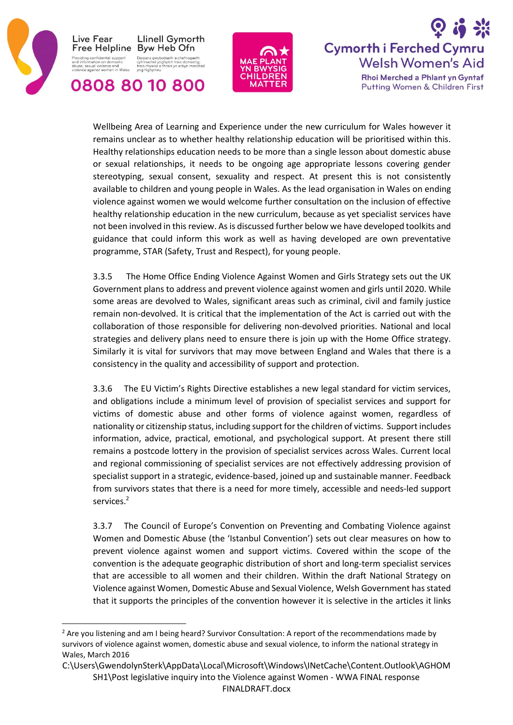

**.** 





Wellbeing Area of Learning and Experience under the new curriculum for Wales however it remains unclear as to whether healthy relationship education will be prioritised within this. Healthy relationships education needs to be more than a single lesson about domestic abuse or sexual relationships, it needs to be ongoing age appropriate lessons covering gender stereotyping, sexual consent, sexuality and respect. At present this is not consistently available to children and young people in Wales. As the lead organisation in Wales on ending violence against women we would welcome further consultation on the inclusion of effective healthy relationship education in the new curriculum, because as yet specialist services have not been involved in this review. As is discussed further below we have developed toolkits and guidance that could inform this work as well as having developed are own preventative programme, STAR (Safety, Trust and Respect), for young people.

3.3.5 The Home Office Ending Violence Against Women and Girls Strategy sets out the UK Government plans to address and prevent violence against women and girls until 2020. While some areas are devolved to Wales, significant areas such as criminal, civil and family justice remain non-devolved. It is critical that the implementation of the Act is carried out with the collaboration of those responsible for delivering non-devolved priorities. National and local strategies and delivery plans need to ensure there is join up with the Home Office strategy. Similarly it is vital for survivors that may move between England and Wales that there is a consistency in the quality and accessibility of support and protection.

3.3.6 The EU Victim's Rights Directive establishes a new legal standard for victim services, and obligations include a minimum level of provision of specialist services and support for victims of domestic abuse and other forms of violence against women, regardless of nationality or citizenship status, including support for the children of victims. Support includes information, advice, practical, emotional, and psychological support. At present there still remains a postcode lottery in the provision of specialist services across Wales. Current local and regional commissioning of specialist services are not effectively addressing provision of specialist support in a strategic, evidence-based, joined up and sustainable manner. Feedback from survivors states that there is a need for more timely, accessible and needs-led support services. 2

3.3.7 The Council of Europe's Convention on Preventing and Combating Violence against Women and Domestic Abuse (the 'Istanbul Convention') sets out clear measures on how to prevent violence against women and support victims. Covered within the scope of the convention is the adequate geographic distribution of short and long-term specialist services that are accessible to all women and their children. Within the draft National Strategy on Violence against Women, Domestic Abuse and Sexual Violence, Welsh Government hasstated that it supports the principles of the convention however it is selective in the articles it links

<sup>&</sup>lt;sup>2</sup> Are you listening and am I being heard? Survivor Consultation: A report of the recommendations made by survivors of violence against women, domestic abuse and sexual violence, to inform the national strategy in Wales, March 2016

C:\Users\GwendolynSterk\AppData\Local\Microsoft\Windows\INetCache\Content.Outlook\AGHOM SH1\Post legislative inquiry into the Violence against Women - WWA FINAL response FINALDRAFT.docx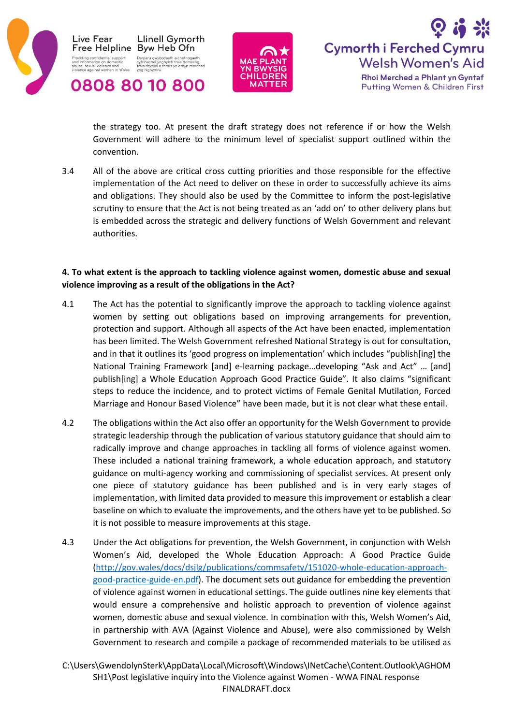





the strategy too. At present the draft strategy does not reference if or how the Welsh Government will adhere to the minimum level of specialist support outlined within the convention.

3.4 All of the above are critical cross cutting priorities and those responsible for the effective implementation of the Act need to deliver on these in order to successfully achieve its aims and obligations. They should also be used by the Committee to inform the post-legislative scrutiny to ensure that the Act is not being treated as an 'add on' to other delivery plans but is embedded across the strategic and delivery functions of Welsh Government and relevant authorities.

## **4. To what extent is the approach to tackling violence against women, domestic abuse and sexual violence improving as a result of the obligations in the Act?**

- 4.1 The Act has the potential to significantly improve the approach to tackling violence against women by setting out obligations based on improving arrangements for prevention, protection and support. Although all aspects of the Act have been enacted, implementation has been limited. The Welsh Government refreshed National Strategy is out for consultation, and in that it outlines its 'good progress on implementation' which includes "publish[ing] the National Training Framework [and] e-learning package…developing "Ask and Act" … [and] publish[ing] a Whole Education Approach Good Practice Guide". It also claims "significant steps to reduce the incidence, and to protect victims of Female Genital Mutilation, Forced Marriage and Honour Based Violence" have been made, but it is not clear what these entail.
- 4.2 The obligations within the Act also offer an opportunity for the Welsh Government to provide strategic leadership through the publication of various statutory guidance that should aim to radically improve and change approaches in tackling all forms of violence against women. These included a national training framework, a whole education approach, and statutory guidance on multi-agency working and commissioning of specialist services. At present only one piece of statutory guidance has been published and is in very early stages of implementation, with limited data provided to measure this improvement or establish a clear baseline on which to evaluate the improvements, and the others have yet to be published. So it is not possible to measure improvements at this stage.
- 4.3 Under the Act obligations for prevention, the Welsh Government, in conjunction with Welsh Women's Aid, developed the Whole Education Approach: A Good Practice Guide [\(http://gov.wales/docs/dsjlg/publications/commsafety/151020-whole-education-approach](http://gov.wales/docs/dsjlg/publications/commsafety/151020-whole-education-approach-good-practice-guide-en.pdf)[good-practice-guide-en.pdf\)](http://gov.wales/docs/dsjlg/publications/commsafety/151020-whole-education-approach-good-practice-guide-en.pdf). The document sets out guidance for embedding the prevention of violence against women in educational settings. The guide outlines nine key elements that would ensure a comprehensive and holistic approach to prevention of violence against women, domestic abuse and sexual violence. In combination with this, Welsh Women's Aid, in partnership with AVA (Against Violence and Abuse), were also commissioned by Welsh Government to research and compile a package of recommended materials to be utilised as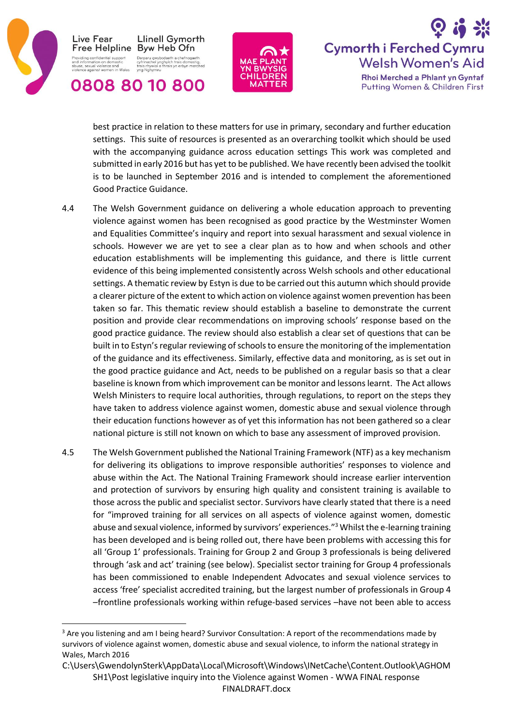

0808 80 10 800





best practice in relation to these matters for use in primary, secondary and further education settings. This suite of resources is presented as an overarching toolkit which should be used with the accompanying guidance across education settings This work was completed and submitted in early 2016 but has yet to be published. We have recently been advised the toolkit is to be launched in September 2016 and is intended to complement the aforementioned Good Practice Guidance.

- 4.4 The Welsh Government guidance on delivering a whole education approach to preventing violence against women has been recognised as good practice by the Westminster Women and Equalities Committee's inquiry and report into sexual harassment and sexual violence in schools. However we are yet to see a clear plan as to how and when schools and other education establishments will be implementing this guidance, and there is little current evidence of this being implemented consistently across Welsh schools and other educational settings. A thematic review by Estyn is due to be carried out this autumn which should provide a clearer picture of the extent to which action on violence against women prevention has been taken so far. This thematic review should establish a baseline to demonstrate the current position and provide clear recommendations on improving schools' response based on the good practice guidance. The review should also establish a clear set of questions that can be built in to Estyn's regular reviewing of schools to ensure the monitoring of the implementation of the guidance and its effectiveness. Similarly, effective data and monitoring, as is set out in the good practice guidance and Act, needs to be published on a regular basis so that a clear baseline is known from which improvement can be monitor and lessons learnt. The Act allows Welsh Ministers to require local authorities, through regulations, to report on the steps they have taken to address violence against women, domestic abuse and sexual violence through their education functions however as of yet this information has not been gathered so a clear national picture is still not known on which to base any assessment of improved provision.
- 4.5 The Welsh Government published the National Training Framework (NTF) as a key mechanism for delivering its obligations to improve responsible authorities' responses to violence and abuse within the Act. The National Training Framework should increase earlier intervention and protection of survivors by ensuring high quality and consistent training is available to those across the public and specialist sector. Survivors have clearly stated that there is a need for "improved training for all services on all aspects of violence against women, domestic abuse and sexual violence, informed by survivors' experiences."<sup>3</sup> Whilst the e-learning training has been developed and is being rolled out, there have been problems with accessing this for all 'Group 1' professionals. Training for Group 2 and Group 3 professionals is being delivered through 'ask and act' training (see below). Specialist sector training for Group 4 professionals has been commissioned to enable Independent Advocates and sexual violence services to access 'free' specialist accredited training, but the largest number of professionals in Group 4 –frontline professionals working within refuge-based services –have not been able to access

**<sup>.</sup>** <sup>3</sup> Are you listening and am I being heard? Survivor Consultation: A report of the recommendations made by survivors of violence against women, domestic abuse and sexual violence, to inform the national strategy in Wales, March 2016

C:\Users\GwendolynSterk\AppData\Local\Microsoft\Windows\INetCache\Content.Outlook\AGHOM SH1\Post legislative inquiry into the Violence against Women - WWA FINAL response FINALDRAFT.docx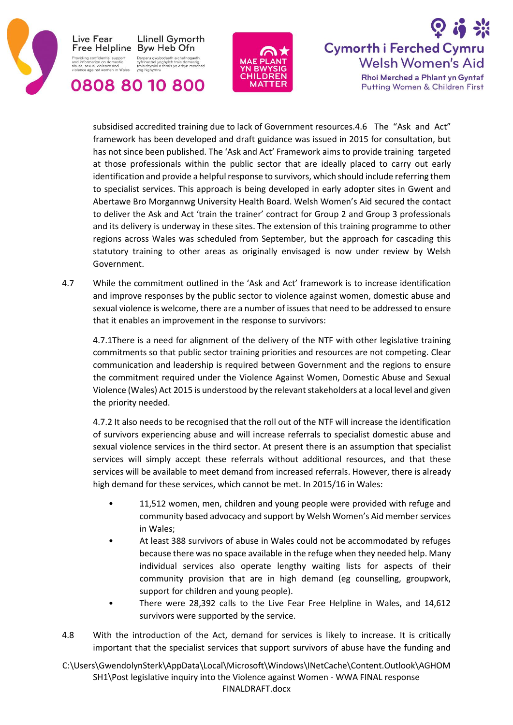





subsidised accredited training due to lack of Government resources.4.6 The "Ask and Act" framework has been developed and draft guidance was issued in 2015 for consultation, but has not since been published. The 'Ask and Act' Framework aims to provide training targeted at those professionals within the public sector that are ideally placed to carry out early identification and provide a helpful response to survivors, which should include referring them to specialist services. This approach is being developed in early adopter sites in Gwent and Abertawe Bro Morgannwg University Health Board. Welsh Women's Aid secured the contact to deliver the Ask and Act 'train the trainer' contract for Group 2 and Group 3 professionals and its delivery is underway in these sites. The extension of this training programme to other regions across Wales was scheduled from September, but the approach for cascading this statutory training to other areas as originally envisaged is now under review by Welsh Government.

4.7 While the commitment outlined in the 'Ask and Act' framework is to increase identification and improve responses by the public sector to violence against women, domestic abuse and sexual violence is welcome, there are a number of issues that need to be addressed to ensure that it enables an improvement in the response to survivors:

4.7.1There is a need for alignment of the delivery of the NTF with other legislative training commitments so that public sector training priorities and resources are not competing. Clear communication and leadership is required between Government and the regions to ensure the commitment required under the Violence Against Women, Domestic Abuse and Sexual Violence (Wales) Act 2015 is understood by the relevant stakeholders at a local level and given the priority needed.

4.7.2 It also needs to be recognised that the roll out of the NTF will increase the identification of survivors experiencing abuse and will increase referrals to specialist domestic abuse and sexual violence services in the third sector. At present there is an assumption that specialist services will simply accept these referrals without additional resources, and that these services will be available to meet demand from increased referrals. However, there is already high demand for these services, which cannot be met. In 2015/16 in Wales:

- 11,512 women, men, children and young people were provided with refuge and community based advocacy and support by Welsh Women's Aid member services in Wales;
- At least 388 survivors of abuse in Wales could not be accommodated by refuges because there was no space available in the refuge when they needed help. Many individual services also operate lengthy waiting lists for aspects of their community provision that are in high demand (eg counselling, groupwork, support for children and young people).
- There were 28,392 calls to the Live Fear Free Helpline in Wales, and 14,612 survivors were supported by the service.
- 4.8 With the introduction of the Act, demand for services is likely to increase. It is critically important that the specialist services that support survivors of abuse have the funding and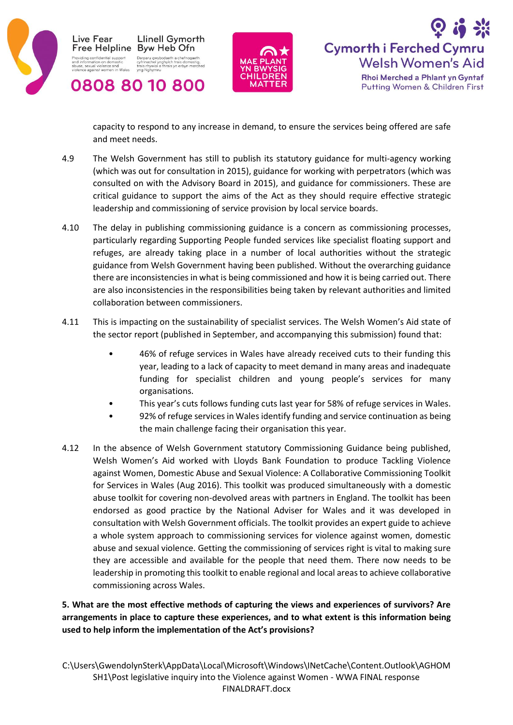





capacity to respond to any increase in demand, to ensure the services being offered are safe and meet needs.

- 4.9 The Welsh Government has still to publish its statutory guidance for multi-agency working (which was out for consultation in 2015), guidance for working with perpetrators (which was consulted on with the Advisory Board in 2015), and guidance for commissioners. These are critical guidance to support the aims of the Act as they should require effective strategic leadership and commissioning of service provision by local service boards.
- 4.10 The delay in publishing commissioning guidance is a concern as commissioning processes, particularly regarding Supporting People funded services like specialist floating support and refuges, are already taking place in a number of local authorities without the strategic guidance from Welsh Government having been published. Without the overarching guidance there are inconsistencies in what is being commissioned and how it is being carried out. There are also inconsistencies in the responsibilities being taken by relevant authorities and limited collaboration between commissioners.
- 4.11 This is impacting on the sustainability of specialist services. The Welsh Women's Aid state of the sector report (published in September, and accompanying this submission) found that:
	- 46% of refuge services in Wales have already received cuts to their funding this year, leading to a lack of capacity to meet demand in many areas and inadequate funding for specialist children and young people's services for many organisations.
	- This year's cuts follows funding cuts last year for 58% of refuge services in Wales.
	- 92% of refuge services in Wales identify funding and service continuation as being the main challenge facing their organisation this year.
- 4.12 In the absence of Welsh Government statutory Commissioning Guidance being published, Welsh Women's Aid worked with Lloyds Bank Foundation to produce Tackling Violence against Women, Domestic Abuse and Sexual Violence: A Collaborative Commissioning Toolkit for Services in Wales (Aug 2016). This toolkit was produced simultaneously with a domestic abuse toolkit for covering non-devolved areas with partners in England. The toolkit has been endorsed as good practice by the National Adviser for Wales and it was developed in consultation with Welsh Government officials. The toolkit provides an expert guide to achieve a whole system approach to commissioning services for violence against women, domestic abuse and sexual violence. Getting the commissioning of services right is vital to making sure they are accessible and available for the people that need them. There now needs to be leadership in promoting this toolkit to enable regional and local areas to achieve collaborative commissioning across Wales.

# **5. What are the most effective methods of capturing the views and experiences of survivors? Are arrangements in place to capture these experiences, and to what extent is this information being used to help inform the implementation of the Act's provisions?**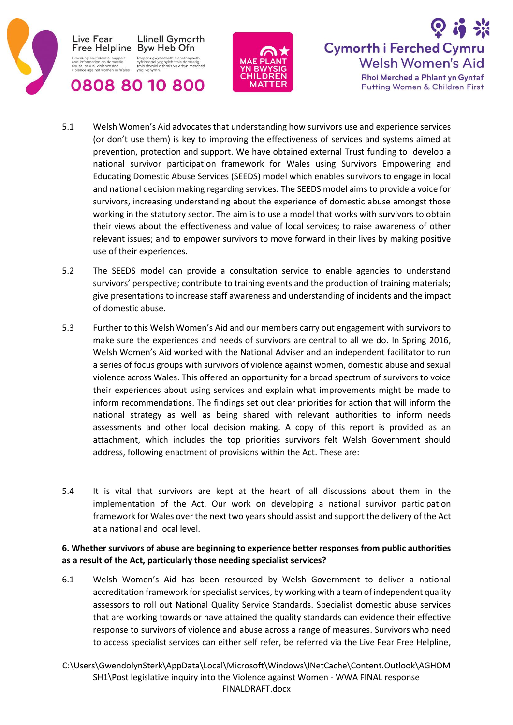





- 5.1 Welsh Women's Aid advocates that understanding how survivors use and experience services (or don't use them) is key to improving the effectiveness of services and systems aimed at prevention, protection and support. We have obtained external Trust funding to develop a national survivor participation framework for Wales using Survivors Empowering and Educating Domestic Abuse Services (SEEDS) model which enables survivors to engage in local and national decision making regarding services. The SEEDS model aims to provide a voice for survivors, increasing understanding about the experience of domestic abuse amongst those working in the statutory sector. The aim is to use a model that works with survivors to obtain their views about the effectiveness and value of local services; to raise awareness of other relevant issues; and to empower survivors to move forward in their lives by making positive use of their experiences.
- 5.2 The SEEDS model can provide a consultation service to enable agencies to understand survivors' perspective; contribute to training events and the production of training materials; give presentations to increase staff awareness and understanding of incidents and the impact of domestic abuse.
- 5.3 Further to this Welsh Women's Aid and our members carry out engagement with survivors to make sure the experiences and needs of survivors are central to all we do. In Spring 2016, Welsh Women's Aid worked with the National Adviser and an independent facilitator to run a series of focus groups with survivors of violence against women, domestic abuse and sexual violence across Wales. This offered an opportunity for a broad spectrum of survivors to voice their experiences about using services and explain what improvements might be made to inform recommendations. The findings set out clear priorities for action that will inform the national strategy as well as being shared with relevant authorities to inform needs assessments and other local decision making. A copy of this report is provided as an attachment, which includes the top priorities survivors felt Welsh Government should address, following enactment of provisions within the Act. These are:
- 5.4 It is vital that survivors are kept at the heart of all discussions about them in the implementation of the Act. Our work on developing a national survivor participation framework for Wales over the next two years should assist and support the delivery of the Act at a national and local level.

### **6. Whether survivors of abuse are beginning to experience better responses from public authorities as a result of the Act, particularly those needing specialist services?**

- 6.1 Welsh Women's Aid has been resourced by Welsh Government to deliver a national accreditation framework for specialist services, by working with a team of independent quality assessors to roll out National Quality Service Standards. Specialist domestic abuse services that are working towards or have attained the quality standards can evidence their effective response to survivors of violence and abuse across a range of measures. Survivors who need to access specialist services can either self refer, be referred via the Live Fear Free Helpline,
- C:\Users\GwendolynSterk\AppData\Local\Microsoft\Windows\INetCache\Content.Outlook\AGHOM SH1\Post legislative inquiry into the Violence against Women - WWA FINAL response FINALDRAFT.docx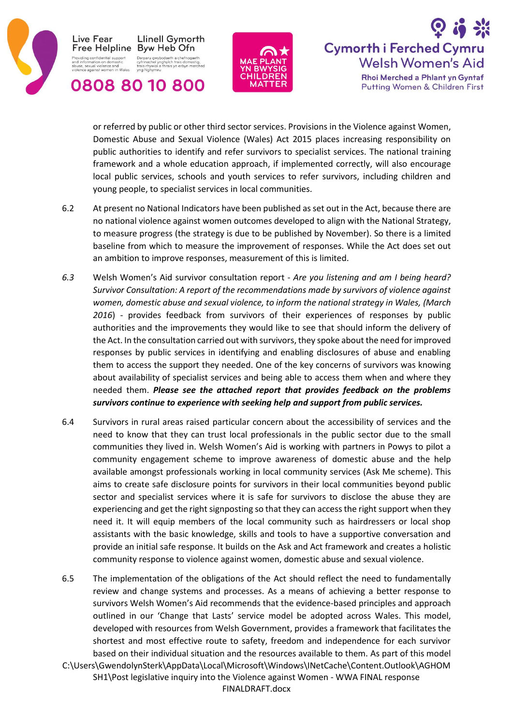





or referred by public or other third sector services. Provisions in the Violence against Women, Domestic Abuse and Sexual Violence (Wales) Act 2015 places increasing responsibility on public authorities to identify and refer survivors to specialist services. The national training framework and a whole education approach, if implemented correctly, will also encourage local public services, schools and youth services to refer survivors, including children and young people, to specialist services in local communities.

- 6.2 At present no National Indicators have been published as set out in the Act, because there are no national violence against women outcomes developed to align with the National Strategy, to measure progress (the strategy is due to be published by November). So there is a limited baseline from which to measure the improvement of responses. While the Act does set out an ambition to improve responses, measurement of this is limited.
- *6.3* Welsh Women's Aid survivor consultation report *Are you listening and am I being heard? Survivor Consultation: A report of the recommendations made by survivors of violence against women, domestic abuse and sexual violence, to inform the national strategy in Wales, (March 2016*) - provides feedback from survivors of their experiences of responses by public authorities and the improvements they would like to see that should inform the delivery of the Act. In the consultation carried out with survivors, they spoke about the need for improved responses by public services in identifying and enabling disclosures of abuse and enabling them to access the support they needed. One of the key concerns of survivors was knowing about availability of specialist services and being able to access them when and where they needed them. *Please see the attached report that provides feedback on the problems survivors continue to experience with seeking help and support from public services.*
- 6.4 Survivors in rural areas raised particular concern about the accessibility of services and the need to know that they can trust local professionals in the public sector due to the small communities they lived in. Welsh Women's Aid is working with partners in Powys to pilot a community engagement scheme to improve awareness of domestic abuse and the help available amongst professionals working in local community services (Ask Me scheme). This aims to create safe disclosure points for survivors in their local communities beyond public sector and specialist services where it is safe for survivors to disclose the abuse they are experiencing and get the right signposting so that they can access the right support when they need it. It will equip members of the local community such as hairdressers or local shop assistants with the basic knowledge, skills and tools to have a supportive conversation and provide an initial safe response. It builds on the Ask and Act framework and creates a holistic community response to violence against women, domestic abuse and sexual violence.
- C:\Users\GwendolynSterk\AppData\Local\Microsoft\Windows\INetCache\Content.Outlook\AGHOM SH1\Post legislative inquiry into the Violence against Women - WWA FINAL response FINALDRAFT.docx 6.5 The implementation of the obligations of the Act should reflect the need to fundamentally review and change systems and processes. As a means of achieving a better response to survivors Welsh Women's Aid recommends that the evidence-based principles and approach outlined in our 'Change that Lasts' service model be adopted across Wales. This model, developed with resources from Welsh Government, provides a framework that facilitates the shortest and most effective route to safety, freedom and independence for each survivor based on their individual situation and the resources available to them. As part of this model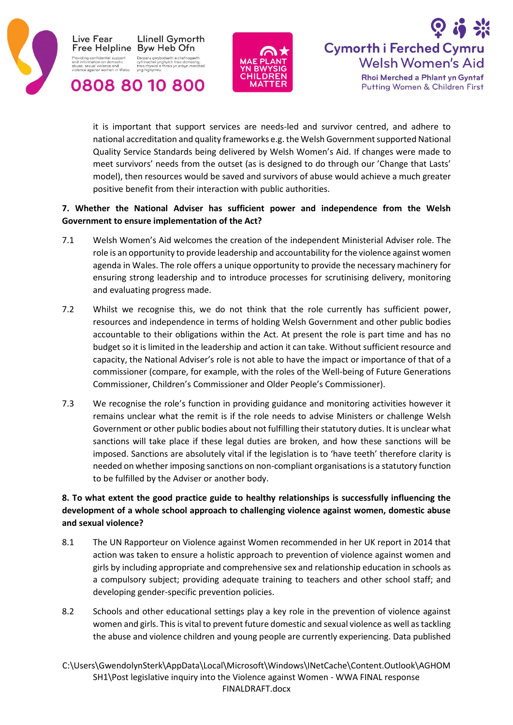





it is important that support services are needs-led and survivor centred, and adhere to national accreditation and quality frameworks e.g. the Welsh Government supported National Quality Service Standards being delivered by Welsh Women's Aid. If changes were made to meet survivors' needs from the outset (as is designed to do through our 'Change that Lasts' model), then resources would be saved and survivors of abuse would achieve a much greater positive benefit from their interaction with public authorities.

## **7. Whether the National Adviser has sufficient power and independence from the Welsh Government to ensure implementation of the Act?**

- 7.1 Welsh Women's Aid welcomes the creation of the independent Ministerial Adviser role. The role is an opportunity to provide leadership and accountability for the violence against women agenda in Wales. The role offers a unique opportunity to provide the necessary machinery for ensuring strong leadership and to introduce processes for scrutinising delivery, monitoring and evaluating progress made.
- 7.2 Whilst we recognise this, we do not think that the role currently has sufficient power, resources and independence in terms of holding Welsh Government and other public bodies accountable to their obligations within the Act. At present the role is part time and has no budget so it is limited in the leadership and action it can take. Without sufficient resource and capacity, the National Adviser's role is not able to have the impact or importance of that of a commissioner (compare, for example, with the roles of the Well-being of Future Generations Commissioner, Children's Commissioner and Older People's Commissioner).
- 7.3 We recognise the role's function in providing guidance and monitoring activities however it remains unclear what the remit is if the role needs to advise Ministers or challenge Welsh Government or other public bodies about not fulfilling their statutory duties. It is unclear what sanctions will take place if these legal duties are broken, and how these sanctions will be imposed. Sanctions are absolutely vital if the legislation is to 'have teeth' therefore clarity is needed on whether imposing sanctions on non-compliant organisations is a statutory function to be fulfilled by the Adviser or another body.

# **8. To what extent the good practice guide to healthy relationships is successfully influencing the development of a whole school approach to challenging violence against women, domestic abuse and sexual violence?**

- 8.1 The UN Rapporteur on Violence against Women recommended in her UK report in 2014 that action was taken to ensure a holistic approach to prevention of violence against women and girls by including appropriate and comprehensive sex and relationship education in schools as a compulsory subject; providing adequate training to teachers and other school staff; and developing gender-specific prevention policies.
- 8.2 Schools and other educational settings play a key role in the prevention of violence against women and girls. This is vital to prevent future domestic and sexual violence as well as tackling the abuse and violence children and young people are currently experiencing. Data published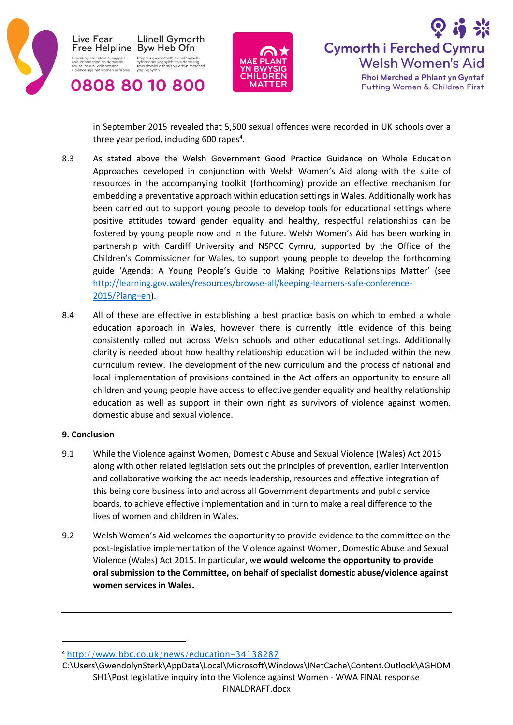





in September 2015 revealed that 5,500 sexual offences were recorded in UK schools over a three year period, including 600 rapes<sup>4</sup>.

- 8.3 As stated above the Welsh Government Good Practice Guidance on Whole Education Approaches developed in conjunction with Welsh Women's Aid along with the suite of resources in the accompanying toolkit (forthcoming) provide an effective mechanism for embedding a preventative approach within education settings in Wales. Additionally work has been carried out to support young people to develop tools for educational settings where positive attitudes toward gender equality and healthy, respectful relationships can be fostered by young people now and in the future. Welsh Women's Aid has been working in partnership with Cardiff University and NSPCC Cymru, supported by the Office of the Children's Commissioner for Wales, to support young people to develop the forthcoming guide 'Agenda: A Young People's Guide to Making Positive Relationships Matter' (see [http://learning.gov.wales/resources/browse-all/keeping-learners-safe-conference-](http://learning.gov.wales/resources/browse-all/keeping-learners-safe-conference-2015/?lang=en)[2015/?lang=en\)](http://learning.gov.wales/resources/browse-all/keeping-learners-safe-conference-2015/?lang=en).
- 8.4 All of these are effective in establishing a best practice basis on which to embed a whole education approach in Wales, however there is currently little evidence of this being consistently rolled out across Welsh schools and other educational settings. Additionally clarity is needed about how healthy relationship education will be included within the new curriculum review. The development of the new curriculum and the process of national and local implementation of provisions contained in the Act offers an opportunity to ensure all children and young people have access to effective gender equality and healthy relationship education as well as support in their own right as survivors of violence against women, domestic abuse and sexual violence.

### **9. Conclusion**

 $\overline{a}$ 

- 9.1 While the Violence against Women, Domestic Abuse and Sexual Violence (Wales) Act 2015 along with other related legislation sets out the principles of prevention, earlier intervention and collaborative working the act needs leadership, resources and effective integration of this being core business into and across all Government departments and public service boards, to achieve effective implementation and in turn to make a real difference to the lives of women and children in Wales.
- 9.2 Welsh Women's Aid welcomes the opportunity to provide evidence to the committee on the post-legislative implementation of the Violence against Women, Domestic Abuse and Sexual Violence (Wales) Act 2015. In particular, w**e would welcome the opportunity to provide oral submission to the Committee, on behalf of specialist domestic abuse/violence against women services in Wales.**

<sup>4</sup> <http://www.bbc.co.uk/news/education-34138287>

C:\Users\GwendolynSterk\AppData\Local\Microsoft\Windows\INetCache\Content.Outlook\AGHOM SH1\Post legislative inquiry into the Violence against Women - WWA FINAL response FINALDRAFT.docx